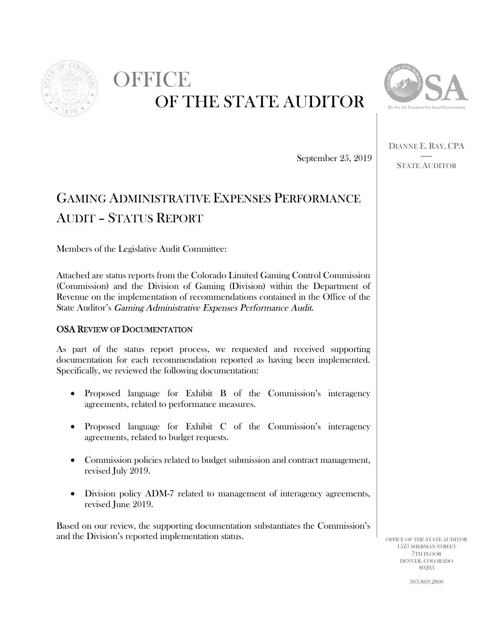

# OFFICE OF THE STATE AUDITOR



DIANNE E. RAY, CPA **STATE AUDITOR** 

September 25, 2019

## **GAMING ADMINISTRATIVE EXPENSES PERFORMANCE AUDIT - STATUS REPORT**

Members of the Legislative Audit Committee:

Attached are status reports from the Colorado Limited Gaming Control Commission (Commission) and the Division of Gaming (Division) within the Department of Revenue on the implementation of recommendations contained in the Office of the State Auditor's Gaming Administrative Expenses Performance Audit.

#### **OSA REVIEW OF DOCUMENTATION**

As part of the status report process, we requested and received supporting documentation for each recommendation reported as having been implemented. Specifically, we reviewed the following documentation:

- Proposed language for Exhibit B of the Commission's interagency agreements, related to performance measures.
- Proposed language for Exhibit C of the Commission's interagency agreements, related to budget requests.
- Commission policies related to budget submission and contract management, revised July 2019.
- Division policy ADM-7 related to management of interagency agreements, revised June 2019.

Based on our review, the supporting documentation substantiates the Commission's and the Division's reported implementation status.

OFFICE OF THE STATE AUDITOR 1525 SHERMAN STREET 7TH FLOOR DENVER, COLORADO 80203

303 869 9800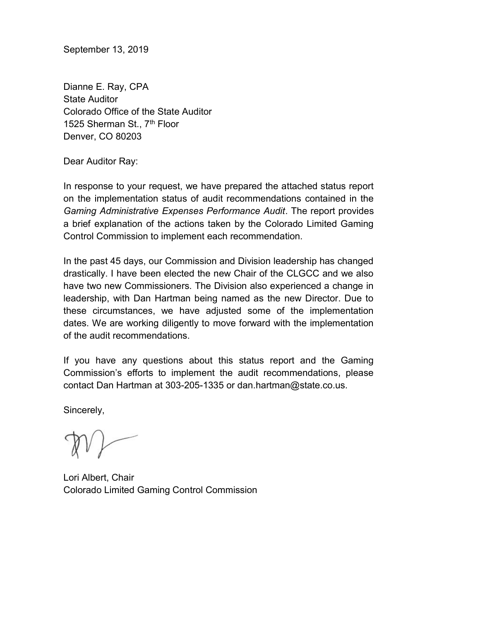September 13, 2019

Dianne E. Ray, CPA State Auditor Colorado Office of the State Auditor 1525 Sherman St., 7<sup>th</sup> Floor Denver, CO 80203

Dear Auditor Ray:

In response to your request, we have prepared the attached status report on the implementation status of audit recommendations contained in the Gaming Administrative Expenses Performance Audit. The report provides a brief explanation of the actions taken by the Colorado Limited Gaming Control Commission to implement each recommendation.

In the past 45 days, our Commission and Division leadership has changed drastically. I have been elected the new Chair of the CLGCC and we also have two new Commissioners. The Division also experienced a change in leadership, with Dan Hartman being named as the new Director. Due to these circumstances, we have adjusted some of the implementation dates. We are working diligently to move forward with the implementation of the audit recommendations.

If you have any questions about this status report and the Gaming Commission's efforts to implement the audit recommendations, please contact Dan Hartman at 303-205-1335 or dan.hartman@state.co.us.

Sincerely,

Lori Albert, Chair Colorado Limited Gaming Control Commission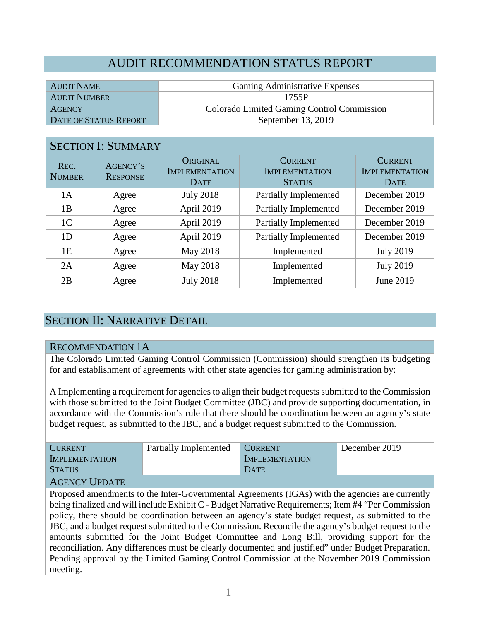## AUDIT RECOMMENDATION STATUS REPORT

| <b>AUDIT NAME</b>     | <b>Gaming Administrative Expenses</b>      |
|-----------------------|--------------------------------------------|
| <b>AUDIT NUMBER</b>   | 1755P                                      |
| <b>AGENCY</b>         | Colorado Limited Gaming Control Commission |
| DATE OF STATUS REPORT | September 13, 2019                         |

#### SECTION I: SUMMARY

| REC.<br><b>NUMBER</b> | AGENCY'S<br><b>RESPONSE</b> | ORIGINAL<br><b>IMPLEMENTATION</b><br><b>DATE</b> | <b>CURRENT</b><br><b>IMPLEMENTATION</b><br><b>STATUS</b> | <b>CURRENT</b><br><b>IMPLEMENTATION</b><br><b>DATE</b> |
|-----------------------|-----------------------------|--------------------------------------------------|----------------------------------------------------------|--------------------------------------------------------|
| 1A                    | Agree                       | <b>July 2018</b>                                 | <b>Partially Implemented</b>                             | December 2019                                          |
| 1B                    | Agree                       | April 2019                                       | Partially Implemented                                    | December 2019                                          |
| 1 <sup>C</sup>        | Agree                       | April 2019                                       | Partially Implemented                                    | December 2019                                          |
| 1D                    | Agree                       | April 2019                                       | Partially Implemented                                    | December 2019                                          |
| 1E                    | Agree                       | May 2018                                         | Implemented                                              | <b>July 2019</b>                                       |
| 2A                    | Agree                       | May 2018                                         | Implemented                                              | <b>July 2019</b>                                       |
| 2B                    | Agree                       | <b>July 2018</b>                                 | Implemented                                              | June 2019                                              |

## SECTION II: NARRATIVE DETAIL

#### RECOMMENDATION 1A

The Colorado Limited Gaming Control Commission (Commission) should strengthen its budgeting for and establishment of agreements with other state agencies for gaming administration by:

A Implementing a requirement for agencies to align their budget requests submitted to the Commission with those submitted to the Joint Budget Committee (JBC) and provide supporting documentation, in accordance with the Commission's rule that there should be coordination between an agency's state budget request, as submitted to the JBC, and a budget request submitted to the Commission.

| <b>CURRENT</b>        | Partially Implemented | <b>CURRENT</b>        | December 2019 |
|-----------------------|-----------------------|-----------------------|---------------|
| <b>IMPLEMENTATION</b> |                       | <b>IMPLEMENTATION</b> |               |
| <b>STATUS</b>         |                       | DATE                  |               |
| A CEMCV LIDDATE       |                       |                       |               |

AGENCY UPDATE

Proposed amendments to the Inter-Governmental Agreements (IGAs) with the agencies are currently being finalized and will include Exhibit C - Budget Narrative Requirements; Item #4 "Per Commission policy, there should be coordination between an agency's state budget request, as submitted to the JBC, and a budget request submitted to the Commission. Reconcile the agency's budget request to the amounts submitted for the Joint Budget Committee and Long Bill, providing support for the reconciliation. Any differences must be clearly documented and justified" under Budget Preparation. Pending approval by the Limited Gaming Control Commission at the November 2019 Commission meeting.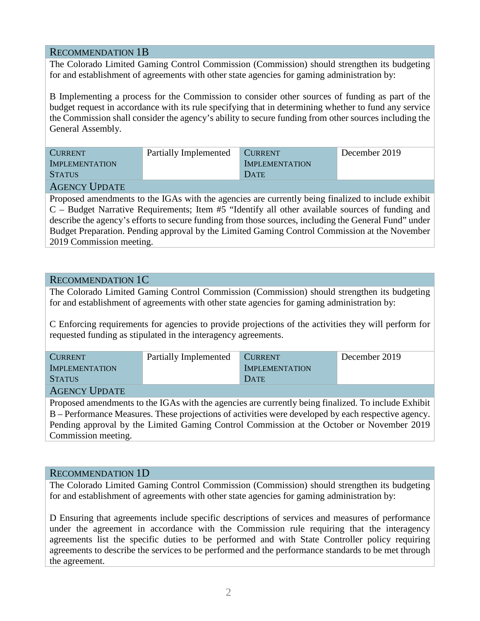#### RECOMMENDATION 1B

The Colorado Limited Gaming Control Commission (Commission) should strengthen its budgeting for and establishment of agreements with other state agencies for gaming administration by:

B Implementing a process for the Commission to consider other sources of funding as part of the budget request in accordance with its rule specifying that in determining whether to fund any service the Commission shall consider the agency's ability to secure funding from other sources including the General Assembly.

| <b>CURRENT</b>                      | Partially Implemented | <b>CURRENT</b>        | December 2019 |  |
|-------------------------------------|-----------------------|-----------------------|---------------|--|
| <b>IMPLEMENTATION</b>               |                       | <b>IMPLEMENTATION</b> |               |  |
| <b>STATUS</b>                       |                       | DATE                  |               |  |
| $\lambda$ any $\alpha$ if $\lambda$ |                       |                       |               |  |

#### AGENCY UPDATE

Proposed amendments to the IGAs with the agencies are currently being finalized to include exhibit C – Budget Narrative Requirements; Item #5 "Identify all other available sources of funding and describe the agency's efforts to secure funding from those sources, including the General Fund" under Budget Preparation. Pending approval by the Limited Gaming Control Commission at the November 2019 Commission meeting.

#### RECOMMENDATION 1C

The Colorado Limited Gaming Control Commission (Commission) should strengthen its budgeting for and establishment of agreements with other state agencies for gaming administration by:

C Enforcing requirements for agencies to provide projections of the activities they will perform for requested funding as stipulated in the interagency agreements.

| <b>CURRENT</b>        | Partially Implemented | CURRENT               | December 2019 |
|-----------------------|-----------------------|-----------------------|---------------|
| <b>IMPLEMENTATION</b> |                       | <b>IMPLEMENTATION</b> |               |
| <b>STATUS</b>         |                       | DATE                  |               |
| <b>AGENCY UPDATE</b>  |                       |                       |               |

Proposed amendments to the IGAs with the agencies are currently being finalized. To include Exhibit B – Performance Measures. These projections of activities were developed by each respective agency. Pending approval by the Limited Gaming Control Commission at the October or November 2019 Commission meeting.

#### RECOMMENDATION 1D

The Colorado Limited Gaming Control Commission (Commission) should strengthen its budgeting for and establishment of agreements with other state agencies for gaming administration by:

D Ensuring that agreements include specific descriptions of services and measures of performance under the agreement in accordance with the Commission rule requiring that the interagency agreements list the specific duties to be performed and with State Controller policy requiring agreements to describe the services to be performed and the performance standards to be met through the agreement.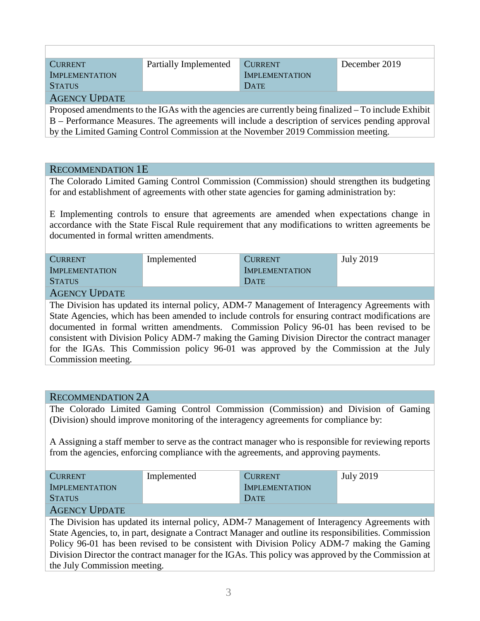| <b>CURRENT</b>        | Partially Implemented | <b>CURRENT</b>        | December 2019 |
|-----------------------|-----------------------|-----------------------|---------------|
| <b>IMPLEMENTATION</b> |                       | <b>IMPLEMENTATION</b> |               |
| <b>STATUS</b>         |                       | DATE                  |               |
| <b>AGENCY UPDATE</b>  |                       |                       |               |
|                       |                       |                       |               |

Proposed amendments to the IGAs with the agencies are currently being finalized – To include Exhibit B – Performance Measures. The agreements will include a description of services pending approval by the Limited Gaming Control Commission at the November 2019 Commission meeting.

#### RECOMMENDATION 1E

The Colorado Limited Gaming Control Commission (Commission) should strengthen its budgeting for and establishment of agreements with other state agencies for gaming administration by:

E Implementing controls to ensure that agreements are amended when expectations change in accordance with the State Fiscal Rule requirement that any modifications to written agreements be documented in formal written amendments.

| <b>CURRENT</b>        | Implemented | <b>CURRENT</b>        | <b>July 2019</b> |  |
|-----------------------|-------------|-----------------------|------------------|--|
| <b>IMPLEMENTATION</b> |             | <b>IMPLEMENTATION</b> |                  |  |
| <b>STATUS</b>         |             | DATE                  |                  |  |
|                       |             |                       |                  |  |

#### AGENCY UPDATE

The Division has updated its internal policy, ADM-7 Management of Interagency Agreements with State Agencies, which has been amended to include controls for ensuring contract modifications are documented in formal written amendments. Commission Policy 96-01 has been revised to be consistent with Division Policy ADM-7 making the Gaming Division Director the contract manager for the IGAs. This Commission policy 96-01 was approved by the Commission at the July Commission meeting.

#### RECOMMENDATION 2A

The Colorado Limited Gaming Control Commission (Commission) and Division of Gaming (Division) should improve monitoring of the interagency agreements for compliance by:

A Assigning a staff member to serve as the contract manager who is responsible for reviewing reports from the agencies, enforcing compliance with the agreements, and approving payments.

| <b>CURRENT</b>                         | Implemented | <b>CURRENT</b>        | <b>July 2019</b> |  |
|----------------------------------------|-------------|-----------------------|------------------|--|
| <b>IMPLEMENTATION</b>                  |             | <b>IMPLEMENTATION</b> |                  |  |
| <b>STATUS</b>                          |             | DATE                  |                  |  |
| $\lambda$ any $\lambda$ is $\lambda$ . |             |                       |                  |  |

#### AGENCY UPDATE

The Division has updated its internal policy, ADM-7 Management of Interagency Agreements with State Agencies, to, in part, designate a Contract Manager and outline its responsibilities. Commission Policy 96-01 has been revised to be consistent with Division Policy ADM-7 making the Gaming Division Director the contract manager for the IGAs. This policy was approved by the Commission at the July Commission meeting.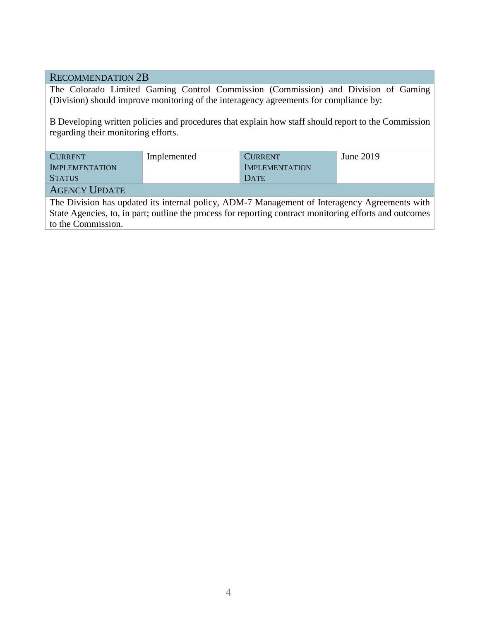#### RECOMMENDATION 2B

The Colorado Limited Gaming Control Commission (Commission) and Division of Gaming (Division) should improve monitoring of the interagency agreements for compliance by:

B Developing written policies and procedures that explain how staff should report to the Commission regarding their monitoring efforts.

| <b>CURRENT</b>        | Implemented | <b>CURRENT</b>        | June 2019 |
|-----------------------|-------------|-----------------------|-----------|
| <b>IMPLEMENTATION</b> |             | <b>IMPLEMENTATION</b> |           |
| <b>STATUS</b>         |             | DATE                  |           |
| <b>AGENCY UPDATE</b>  |             |                       |           |

The Division has updated its internal policy, ADM-7 Management of Interagency Agreements with State Agencies, to, in part; outline the process for reporting contract monitoring efforts and outcomes to the Commission.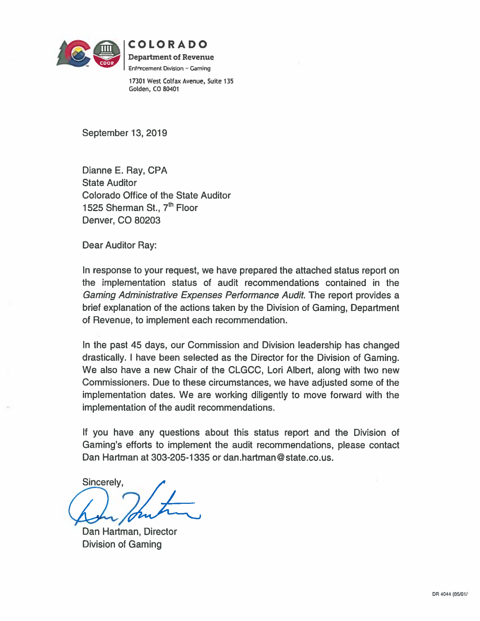

COLORADO

**Department of Revenue** Enforcement Division - Gaming

17301 West Colfax Avenue, Suite 135 Golden, CO 80401

September 13, 2019

Dianne E. Ray, CPA **State Auditor** Colorado Office of the State Auditor 1525 Sherman St., 7th Floor Denver, CO 80203

Dear Auditor Ray:

In response to your request, we have prepared the attached status report on the implementation status of audit recommendations contained in the Gaming Administrative Expenses Performance Audit. The report provides a brief explanation of the actions taken by the Division of Gaming, Department of Revenue, to implement each recommendation.

In the past 45 days, our Commission and Division leadership has changed drastically. I have been selected as the Director for the Division of Gaming. We also have a new Chair of the CLGCC, Lori Albert, along with two new Commissioners. Due to these circumstances, we have adjusted some of the implementation dates. We are working diligently to move forward with the implementation of the audit recommendations.

If you have any questions about this status report and the Division of Gaming's efforts to implement the audit recommendations, please contact Dan Hartman at 303-205-1335 or dan hartman@state.co.us.

Sincerely,

Dan Hartman, Director **Division of Gaming**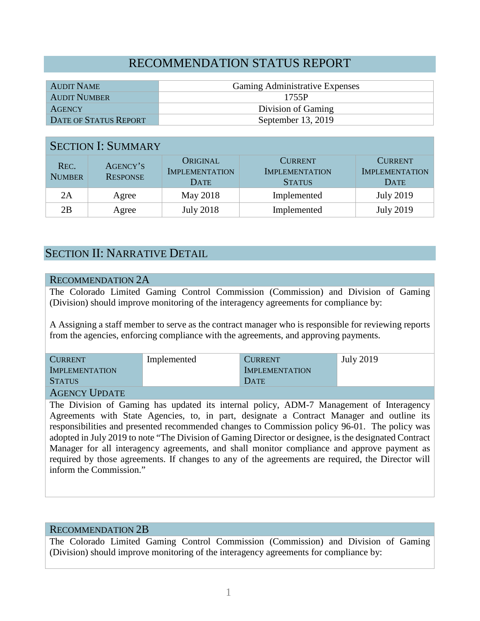## RECOMMENDATION STATUS REPORT

| AUDIT NAME            | <b>Gaming Administrative Expenses</b> |
|-----------------------|---------------------------------------|
| <b>AUDIT NUMBER</b>   | 1755P                                 |
| <b>AGENCY</b>         | Division of Gaming                    |
| DATE OF STATUS REPORT | September $13, 2019$                  |

#### SECTION I: SUMMARY

| REC.<br><b>NUMBER</b> | AGENCY'S<br><b>RESPONSE</b> | ORIGINAL<br><b>IMPLEMENTATION</b><br><b>DATE</b> | <b>CURRENT</b><br><b>IMPLEMENTATION</b><br><b>STATUS</b> | <b>CURRENT</b><br><b>IMPLEMENTATION</b><br><b>DATE</b> |
|-----------------------|-----------------------------|--------------------------------------------------|----------------------------------------------------------|--------------------------------------------------------|
| 2Α                    | Agree                       | May 2018                                         | Implemented                                              | July 2019                                              |
| 2Β                    | Agree                       | <b>July 2018</b>                                 | Implemented                                              | <b>July 2019</b>                                       |

### SECTION II: NARRATIVE DETAIL

#### RECOMMENDATION 2A

The Colorado Limited Gaming Control Commission (Commission) and Division of Gaming (Division) should improve monitoring of the interagency agreements for compliance by:

A Assigning a staff member to serve as the contract manager who is responsible for reviewing reports from the agencies, enforcing compliance with the agreements, and approving payments.

| <b>CURRENT</b>                | Implemented | <b>CURRENT</b>        | <b>July 2019</b> |
|-------------------------------|-------------|-----------------------|------------------|
| <b>IMPLEMENTATION</b>         |             | <b>IMPLEMENTATION</b> |                  |
| <b>STATUS</b>                 |             | DATE                  |                  |
| $\Lambda$ anyove Upp $\mu$ pp |             |                       |                  |

#### AGENCY UPDATE

The Division of Gaming has updated its internal policy, ADM-7 Management of Interagency Agreements with State Agencies, to, in part, designate a Contract Manager and outline its responsibilities and presented recommended changes to Commission policy 96-01. The policy was adopted in July 2019 to note "The Division of Gaming Director or designee, is the designated Contract Manager for all interagency agreements, and shall monitor compliance and approve payment as required by those agreements. If changes to any of the agreements are required, the Director will inform the Commission."

#### RECOMMENDATION 2B

The Colorado Limited Gaming Control Commission (Commission) and Division of Gaming (Division) should improve monitoring of the interagency agreements for compliance by: